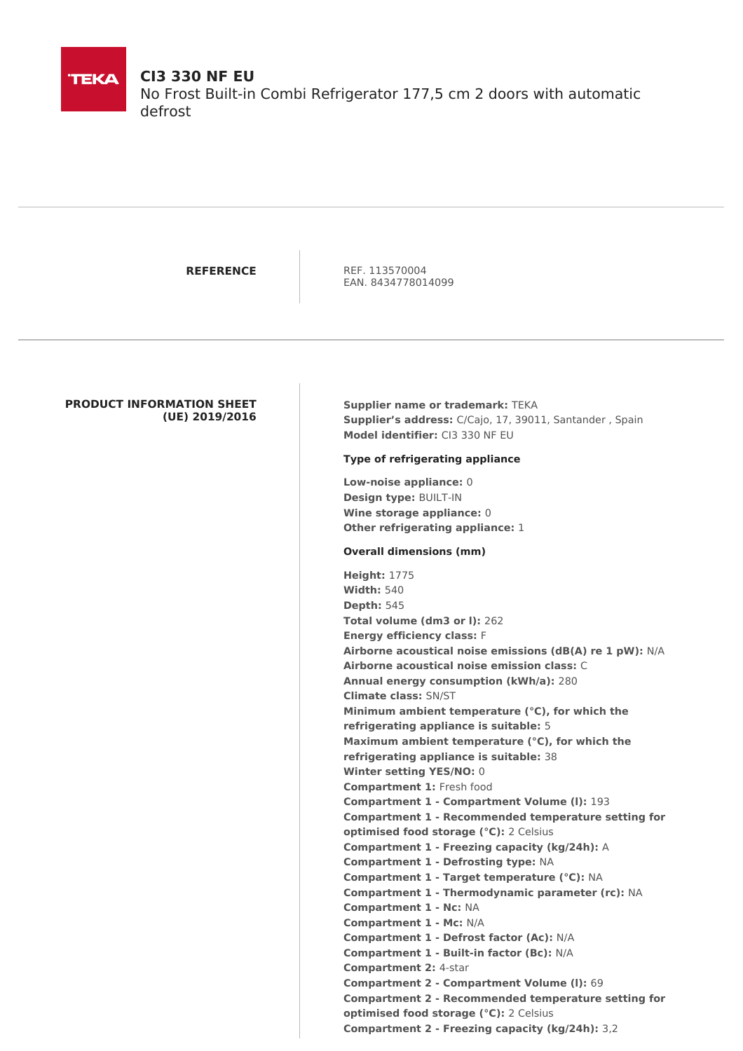

# **CI3 330 NF EU**

No Frost Built-in Combi Refrigerator 177,5 cm 2 doors with automatic defrost

**REFERENCE** REF. 113570004 EAN. 8434778014099

## **PRODUCT INFORMATION SHEET (UE) 2019/2016**

**Supplier name or trademark:** TEKA **Supplier's address:** C/Cajo, 17, 39011, Santander , Spain **Model identifier:** CI3 330 NF EU

## **Type of refrigerating appliance**

**Low-noise appliance:** 0 **Design type:** BUILT-IN **Wine storage appliance:** 0 **Other refrigerating appliance:** 1

### **Overall dimensions (mm)**

**Height:** 1775 **Width:** 540 **Depth:** 545 **Total volume (dm3 or l):** 262 **Energy efficiency class:** F **Airborne acoustical noise emissions (dB(A) re 1 pW):** N/A **Airborne acoustical noise emission class:** C **Annual energy consumption (kWh/a):** 280 **Climate class:** SN/ST **Minimum ambient temperature (°C), for which the refrigerating appliance is suitable:** 5 **Maximum ambient temperature (°C), for which the refrigerating appliance is suitable:** 38 **Winter setting YES/NO:** 0 **Compartment 1:** Fresh food **Compartment 1 - Compartment Volume (l):** 193 **Compartment 1 - Recommended temperature setting for optimised food storage (°C):** 2 Celsius **Compartment 1 - Freezing capacity (kg/24h):** A **Compartment 1 - Defrosting type:** NA **Compartment 1 - Target temperature (°C):** NA **Compartment 1 - Thermodynamic parameter (rc):** NA **Compartment 1 - Nc:** NA **Compartment 1 - Mc:** N/A **Compartment 1 - Defrost factor (Ac):** N/A **Compartment 1 - Built-in factor (Bc):** N/A **Compartment 2:** 4-star **Compartment 2 - Compartment Volume (l):** 69 **Compartment 2 - Recommended temperature setting for optimised food storage (°C):** 2 Celsius **Compartment 2 - Freezing capacity (kg/24h):** 3,2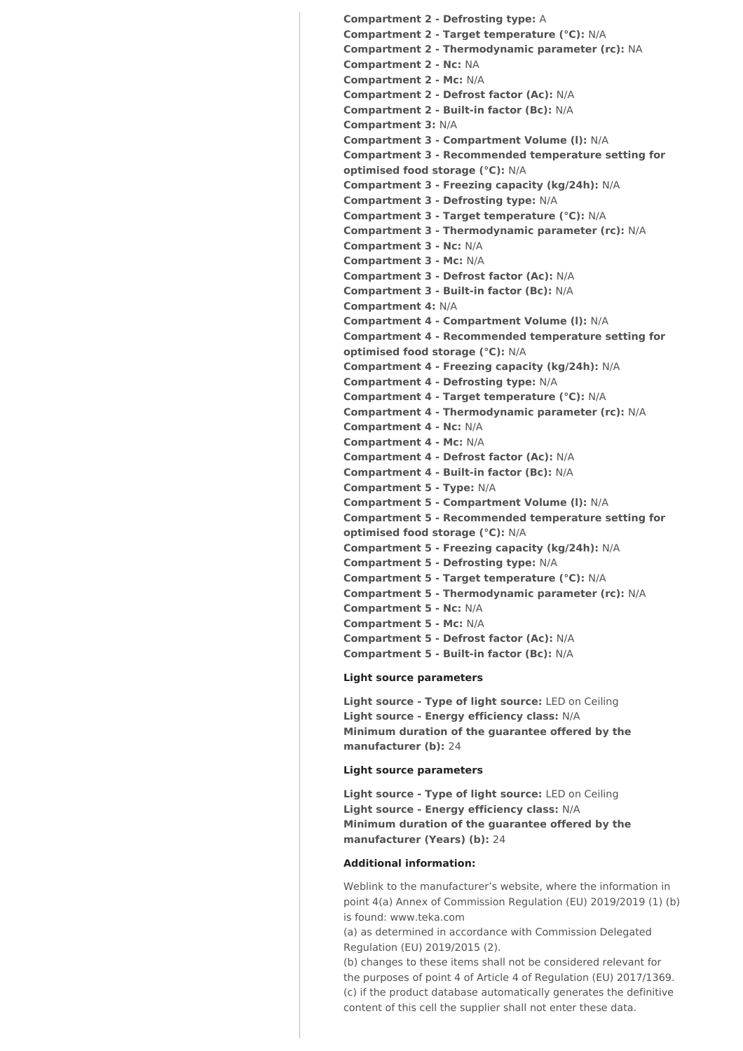**Compartment 2 - Defrosting type:** A **Compartment 2 - Target temperature (°C):** N/A **Compartment 2 - Thermodynamic parameter (rc):** NA **Compartment 2 - Nc:** NA **Compartment 2 - Mc:** N/A **Compartment 2 - Defrost factor (Ac):** N/A **Compartment 2 - Built-in factor (Bc):** N/A **Compartment 3:** N/A **Compartment 3 - Compartment Volume (l):** N/A **Compartment 3 - Recommended temperature setting for optimised food storage (°C):** N/A **Compartment 3 - Freezing capacity (kg/24h):** N/A **Compartment 3 - Defrosting type:** N/A **Compartment 3 - Target temperature (°C):** N/A **Compartment 3 - Thermodynamic parameter (rc):** N/A **Compartment 3 - Nc:** N/A **Compartment 3 - Mc:** N/A **Compartment 3 - Defrost factor (Ac):** N/A **Compartment 3 - Built-in factor (Bc):** N/A **Compartment 4:** N/A **Compartment 4 - Compartment Volume (l):** N/A **Compartment 4 - Recommended temperature setting for optimised food storage (°C):** N/A **Compartment 4 - Freezing capacity (kg/24h):** N/A **Compartment 4 - Defrosting type:** N/A **Compartment 4 - Target temperature (°C):** N/A **Compartment 4 - Thermodynamic parameter (rc):** N/A **Compartment 4 - Nc:** N/A **Compartment 4 - Mc:** N/A **Compartment 4 - Defrost factor (Ac):** N/A **Compartment 4 - Built-in factor (Bc):** N/A **Compartment 5 - Type:** N/A **Compartment 5 - Compartment Volume (l):** N/A **Compartment 5 - Recommended temperature setting for optimised food storage (°C):** N/A **Compartment 5 - Freezing capacity (kg/24h):** N/A **Compartment 5 - Defrosting type:** N/A **Compartment 5 - Target temperature (°C):** N/A **Compartment 5 - Thermodynamic parameter (rc):** N/A **Compartment 5 - Nc:** N/A **Compartment 5 - Mc:** N/A **Compartment 5 - Defrost factor (Ac):** N/A **Compartment 5 - Built-in factor (Bc):** N/A

#### **Light source parameters**

**Light source - Type of light source:** LED on Ceiling **Light source - Energy efficiency class:** N/A **Minimum duration of the guarantee offered by the manufacturer (b):** 24

## **Light source parameters**

**Light source - Type of light source:** LED on Ceiling **Light source - Energy efficiency class:** N/A **Minimum duration of the guarantee offered by the manufacturer (Years) (b):** 24

#### **Additional information:**

Weblink to the manufacturer's website, where the information in point 4(a) Annex of Commission Regulation (EU) 2019/2019 (1) (b) is found: www.teka.com

(a) as determined in accordance with Commission Delegated Regulation (EU) 2019/2015 (2).

(b) changes to these items shall not be considered relevant for the purposes of point 4 of Article 4 of Regulation (EU) 2017/1369. (c) if the product database automatically generates the definitive content of this cell the supplier shall not enter these data.